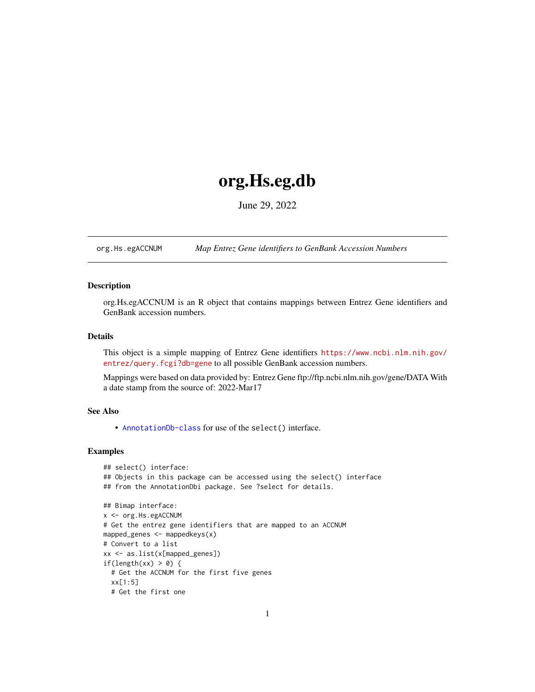## <span id="page-0-1"></span>org.Hs.eg.db

June 29, 2022

<span id="page-0-0"></span>org.Hs.egACCNUM *Map Entrez Gene identifiers to GenBank Accession Numbers*

#### **Description**

org.Hs.egACCNUM is an R object that contains mappings between Entrez Gene identifiers and GenBank accession numbers.

## Details

This object is a simple mapping of Entrez Gene identifiers [https://www.ncbi.nlm.nih.gov/](https://www.ncbi.nlm.nih.gov/entrez/query.fcgi?db=gene) [entrez/query.fcgi?db=gene](https://www.ncbi.nlm.nih.gov/entrez/query.fcgi?db=gene) to all possible GenBank accession numbers.

Mappings were based on data provided by: Entrez Gene ftp://ftp.ncbi.nlm.nih.gov/gene/DATA With a date stamp from the source of: 2022-Mar17

## See Also

• AnnotationDb-class for use of the select() interface.

```
## select() interface:
## Objects in this package can be accessed using the select() interface
## from the AnnotationDbi package. See ?select for details.
## Bimap interface:
x <- org.Hs.egACCNUM
# Get the entrez gene identifiers that are mapped to an ACCNUM
mapped_genes \leq mappedkeys(x)
# Convert to a list
xx <- as.list(x[mapped_genes])
if(length(xx) > 0) {
  # Get the ACCNUM for the first five genes
  xx[1:5]
  # Get the first one
```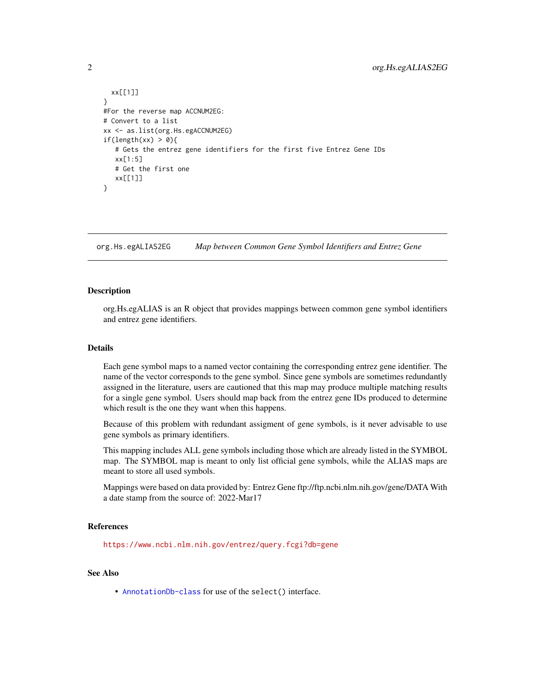```
xx[[1]]
}
#For the reverse map ACCNUM2EG:
# Convert to a list
xx <- as.list(org.Hs.egACCNUM2EG)
if(length(xx) > 0){
   # Gets the entrez gene identifiers for the first five Entrez Gene IDs
  xx[1:5]
  # Get the first one
  xx[[1]]
}
```
org.Hs.egALIAS2EG *Map between Common Gene Symbol Identifiers and Entrez Gene*

#### **Description**

org.Hs.egALIAS is an R object that provides mappings between common gene symbol identifiers and entrez gene identifiers.

#### Details

Each gene symbol maps to a named vector containing the corresponding entrez gene identifier. The name of the vector corresponds to the gene symbol. Since gene symbols are sometimes redundantly assigned in the literature, users are cautioned that this map may produce multiple matching results for a single gene symbol. Users should map back from the entrez gene IDs produced to determine which result is the one they want when this happens.

Because of this problem with redundant assigment of gene symbols, is it never advisable to use gene symbols as primary identifiers.

This mapping includes ALL gene symbols including those which are already listed in the SYMBOL map. The SYMBOL map is meant to only list official gene symbols, while the ALIAS maps are meant to store all used symbols.

Mappings were based on data provided by: Entrez Gene ftp://ftp.ncbi.nlm.nih.gov/gene/DATA With a date stamp from the source of: 2022-Mar17

## References

<https://www.ncbi.nlm.nih.gov/entrez/query.fcgi?db=gene>

## See Also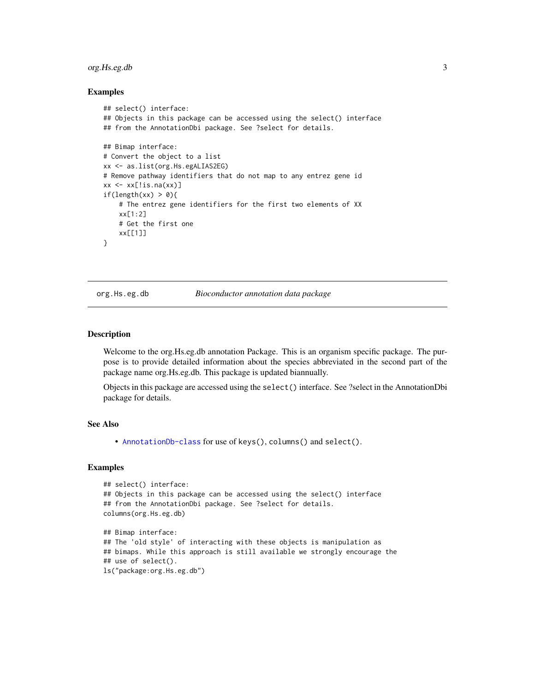## <span id="page-2-0"></span>org.Hs.eg.db 3

#### Examples

```
## select() interface:
## Objects in this package can be accessed using the select() interface
## from the AnnotationDbi package. See ?select for details.
## Bimap interface:
# Convert the object to a list
xx <- as.list(org.Hs.egALIAS2EG)
# Remove pathway identifiers that do not map to any entrez gene id
xx \leq x[\text{!is}.\text{na}(xx)]if(length(xx) > 0){
    # The entrez gene identifiers for the first two elements of XX
    xx[1:2]
    # Get the first one
    xx[[1]]
}
```
#### org.Hs.eg.db *Bioconductor annotation data package*

#### Description

Welcome to the org.Hs.eg.db annotation Package. This is an organism specific package. The purpose is to provide detailed information about the species abbreviated in the second part of the package name org.Hs.eg.db. This package is updated biannually.

Objects in this package are accessed using the select() interface. See ?select in the AnnotationDbi package for details.

#### See Also

• [AnnotationDb-class](#page-0-0) for use of keys(), columns() and select().

```
## select() interface:
## Objects in this package can be accessed using the select() interface
## from the AnnotationDbi package. See ?select for details.
columns(org.Hs.eg.db)
## Bimap interface:
## The 'old style' of interacting with these objects is manipulation as
## bimaps. While this approach is still available we strongly encourage the
## use of select().
ls("package:org.Hs.eg.db")
```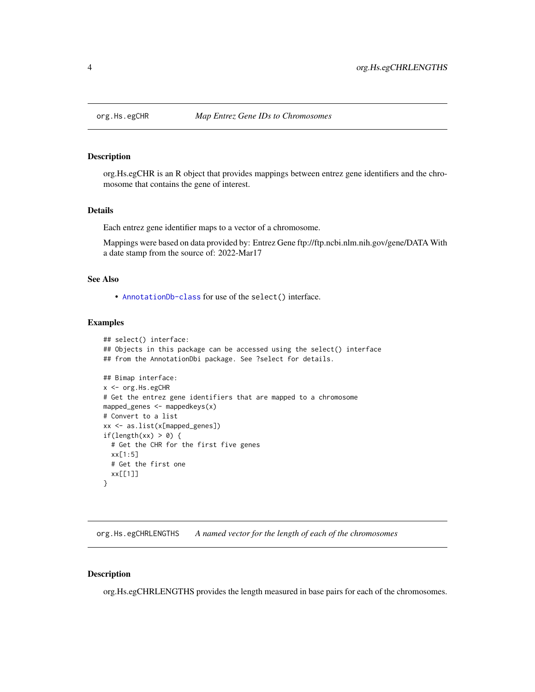<span id="page-3-0"></span>

org.Hs.egCHR is an R object that provides mappings between entrez gene identifiers and the chromosome that contains the gene of interest.

#### Details

Each entrez gene identifier maps to a vector of a chromosome.

Mappings were based on data provided by: Entrez Gene ftp://ftp.ncbi.nlm.nih.gov/gene/DATA With a date stamp from the source of: 2022-Mar17

## See Also

• [AnnotationDb-class](#page-0-0) for use of the select() interface.

#### Examples

```
## select() interface:
## Objects in this package can be accessed using the select() interface
## from the AnnotationDbi package. See ?select for details.
## Bimap interface:
x <- org.Hs.egCHR
# Get the entrez gene identifiers that are mapped to a chromosome
mapped_genes <- mappedkeys(x)
# Convert to a list
xx <- as.list(x[mapped_genes])
if(length(xx) > 0) {
  # Get the CHR for the first five genes
  xx[1:5]
  # Get the first one
  xx[[1]]
}
```
org.Hs.egCHRLENGTHS *A named vector for the length of each of the chromosomes*

#### Description

org.Hs.egCHRLENGTHS provides the length measured in base pairs for each of the chromosomes.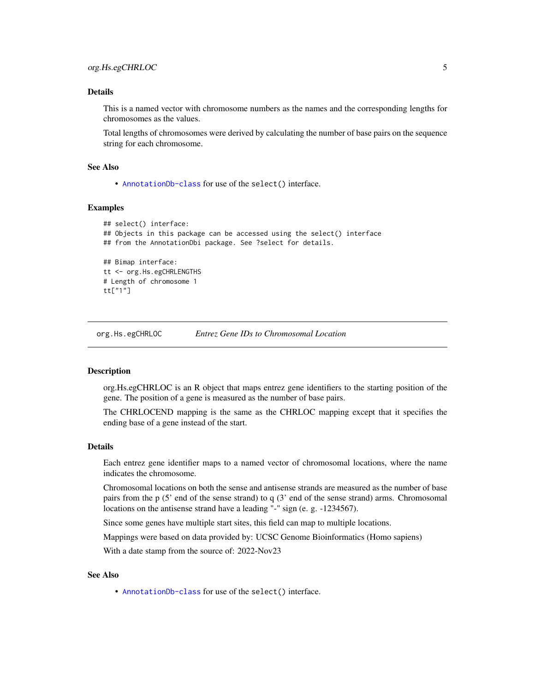## <span id="page-4-0"></span>Details

This is a named vector with chromosome numbers as the names and the corresponding lengths for chromosomes as the values.

Total lengths of chromosomes were derived by calculating the number of base pairs on the sequence string for each chromosome.

#### See Also

• [AnnotationDb-class](#page-0-0) for use of the select() interface.

## Examples

```
## select() interface:
## Objects in this package can be accessed using the select() interface
## from the AnnotationDbi package. See ?select for details.
## Bimap interface:
tt <- org.Hs.egCHRLENGTHS
# Length of chromosome 1
tt["1"]
```
org.Hs.egCHRLOC *Entrez Gene IDs to Chromosomal Location*

#### Description

org.Hs.egCHRLOC is an R object that maps entrez gene identifiers to the starting position of the gene. The position of a gene is measured as the number of base pairs.

The CHRLOCEND mapping is the same as the CHRLOC mapping except that it specifies the ending base of a gene instead of the start.

## Details

Each entrez gene identifier maps to a named vector of chromosomal locations, where the name indicates the chromosome.

Chromosomal locations on both the sense and antisense strands are measured as the number of base pairs from the p (5' end of the sense strand) to q (3' end of the sense strand) arms. Chromosomal locations on the antisense strand have a leading "-" sign (e. g. -1234567).

Since some genes have multiple start sites, this field can map to multiple locations.

Mappings were based on data provided by: UCSC Genome Bioinformatics (Homo sapiens)

With a date stamp from the source of: 2022-Nov23

## See Also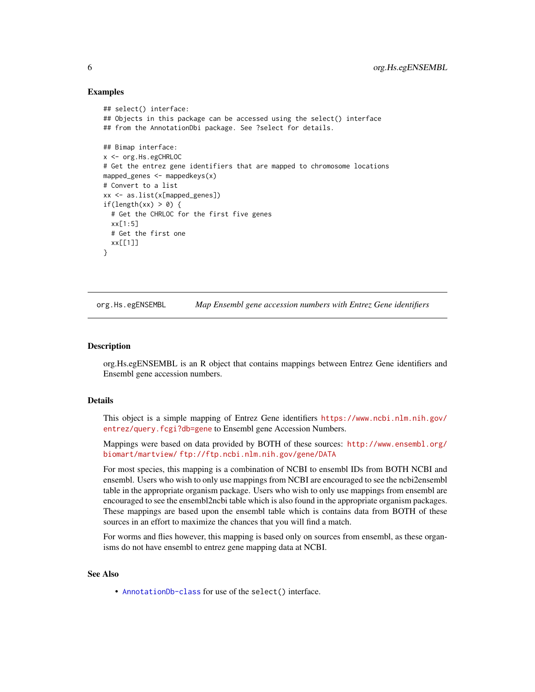```
## select() interface:
## Objects in this package can be accessed using the select() interface
## from the AnnotationDbi package. See ?select for details.
## Bimap interface:
x <- org.Hs.egCHRLOC
# Get the entrez gene identifiers that are mapped to chromosome locations
mapped_genes <- mappedkeys(x)
# Convert to a list
xx <- as.list(x[mapped_genes])
if(length(xx) > 0) {
  # Get the CHRLOC for the first five genes
  xx[1:5]
  # Get the first one
  xx[[1]]
}
```
org.Hs.egENSEMBL *Map Ensembl gene accession numbers with Entrez Gene identifiers*

#### **Description**

org.Hs.egENSEMBL is an R object that contains mappings between Entrez Gene identifiers and Ensembl gene accession numbers.

#### Details

This object is a simple mapping of Entrez Gene identifiers [https://www.ncbi.nlm.nih.gov/](https://www.ncbi.nlm.nih.gov/entrez/query.fcgi?db=gene) [entrez/query.fcgi?db=gene](https://www.ncbi.nlm.nih.gov/entrez/query.fcgi?db=gene) to Ensembl gene Accession Numbers.

Mappings were based on data provided by BOTH of these sources: [http://www.ensembl.org/](http://www.ensembl.org/biomart/martview/) [biomart/martview/](http://www.ensembl.org/biomart/martview/) <ftp://ftp.ncbi.nlm.nih.gov/gene/DATA>

For most species, this mapping is a combination of NCBI to ensembl IDs from BOTH NCBI and ensembl. Users who wish to only use mappings from NCBI are encouraged to see the ncbi2ensembl table in the appropriate organism package. Users who wish to only use mappings from ensembl are encouraged to see the ensembl2ncbi table which is also found in the appropriate organism packages. These mappings are based upon the ensembl table which is contains data from BOTH of these sources in an effort to maximize the chances that you will find a match.

For worms and flies however, this mapping is based only on sources from ensembl, as these organisms do not have ensembl to entrez gene mapping data at NCBI.

#### See Also

<span id="page-5-0"></span>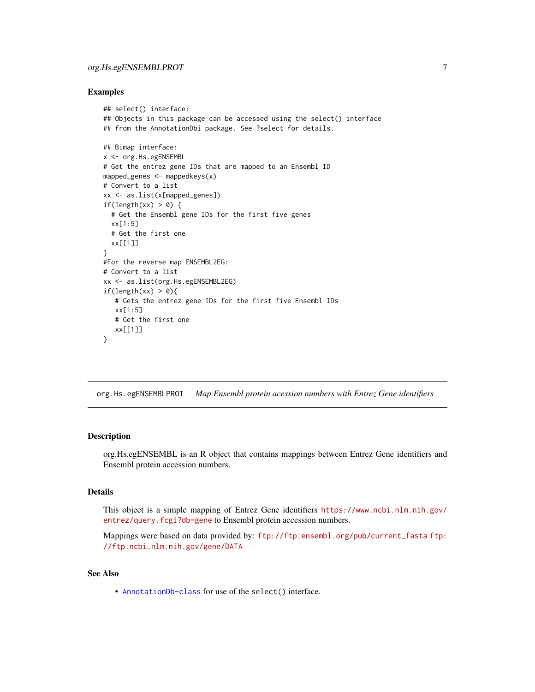```
## select() interface:
## Objects in this package can be accessed using the select() interface
## from the AnnotationDbi package. See ?select for details.
## Bimap interface:
x <- org.Hs.egENSEMBL
# Get the entrez gene IDs that are mapped to an Ensembl ID
mapped_genes <- mappedkeys(x)
# Convert to a list
xx <- as.list(x[mapped_genes])
if(length(xx) > 0) {
  # Get the Ensembl gene IDs for the first five genes
  xx[1:5]
  # Get the first one
  xx[[1]]
}
#For the reverse map ENSEMBL2EG:
# Convert to a list
xx <- as.list(org.Hs.egENSEMBL2EG)
if(length(xx) > 0){
   # Gets the entrez gene IDs for the first five Ensembl IDs
   xx[1:5]
   # Get the first one
   xx[[1]]
}
```
org.Hs.egENSEMBLPROT *Map Ensembl protein acession numbers with Entrez Gene identifiers*

#### Description

org.Hs.egENSEMBL is an R object that contains mappings between Entrez Gene identifiers and Ensembl protein accession numbers.

## Details

This object is a simple mapping of Entrez Gene identifiers [https://www.ncbi.nlm.nih.gov/](https://www.ncbi.nlm.nih.gov/entrez/query.fcgi?db=gene) [entrez/query.fcgi?db=gene](https://www.ncbi.nlm.nih.gov/entrez/query.fcgi?db=gene) to Ensembl protein accession numbers.

Mappings were based on data provided by: [ftp://ftp.ensembl.org/pub/current\\_fasta](ftp://ftp.ensembl.org/pub/current_fasta) [ftp:](ftp://ftp.ncbi.nlm.nih.gov/gene/DATA) [//ftp.ncbi.nlm.nih.gov/gene/DATA](ftp://ftp.ncbi.nlm.nih.gov/gene/DATA)

## See Also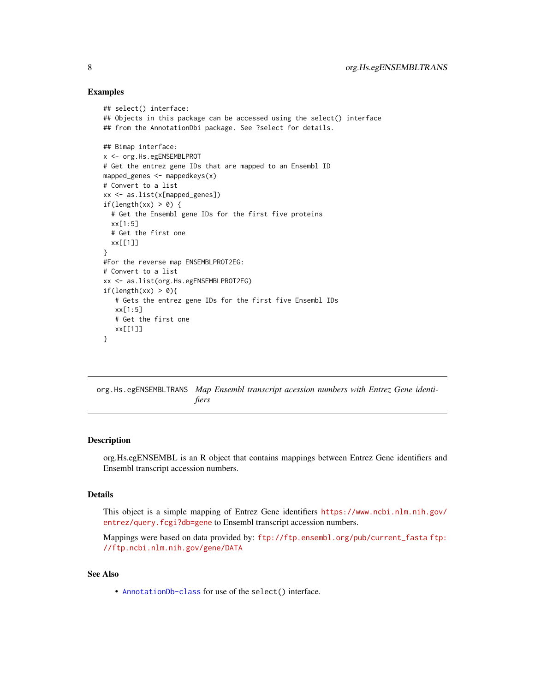```
## select() interface:
## Objects in this package can be accessed using the select() interface
## from the AnnotationDbi package. See ?select for details.
## Bimap interface:
x <- org.Hs.egENSEMBLPROT
# Get the entrez gene IDs that are mapped to an Ensembl ID
mapped_genes <- mappedkeys(x)
# Convert to a list
xx <- as.list(x[mapped_genes])
if(length(xx) > 0) {
  # Get the Ensembl gene IDs for the first five proteins
  xx[1:5]
  # Get the first one
  xx[[1]]
}
#For the reverse map ENSEMBLPROT2EG:
# Convert to a list
xx <- as.list(org.Hs.egENSEMBLPROT2EG)
if(length(xx) > 0)# Gets the entrez gene IDs for the first five Ensembl IDs
   xx[1:5]
   # Get the first one
   xx[[1]]
}
```
org.Hs.egENSEMBLTRANS *Map Ensembl transcript acession numbers with Entrez Gene identifiers*

#### Description

org.Hs.egENSEMBL is an R object that contains mappings between Entrez Gene identifiers and Ensembl transcript accession numbers.

## Details

This object is a simple mapping of Entrez Gene identifiers [https://www.ncbi.nlm.nih.gov/](https://www.ncbi.nlm.nih.gov/entrez/query.fcgi?db=gene) [entrez/query.fcgi?db=gene](https://www.ncbi.nlm.nih.gov/entrez/query.fcgi?db=gene) to Ensembl transcript accession numbers.

Mappings were based on data provided by: [ftp://ftp.ensembl.org/pub/current\\_fasta](ftp://ftp.ensembl.org/pub/current_fasta) [ftp:](ftp://ftp.ncbi.nlm.nih.gov/gene/DATA) [//ftp.ncbi.nlm.nih.gov/gene/DATA](ftp://ftp.ncbi.nlm.nih.gov/gene/DATA)

#### See Also

<span id="page-7-0"></span>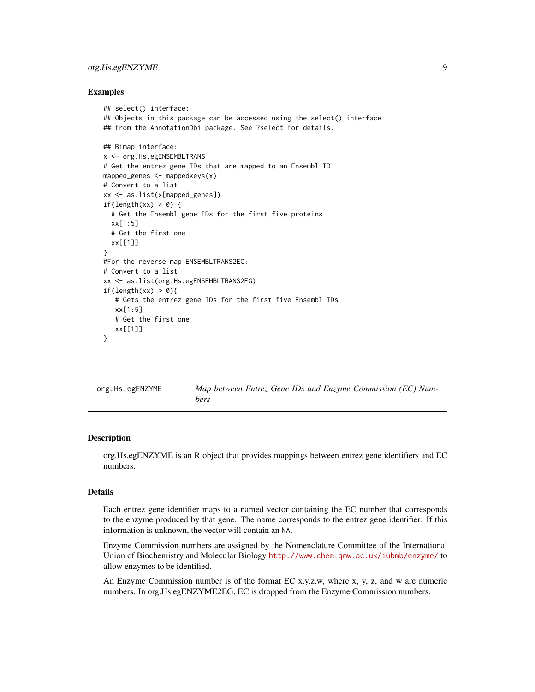## <span id="page-8-0"></span>org.Hs.egENZYME 9

#### Examples

```
## select() interface:
## Objects in this package can be accessed using the select() interface
## from the AnnotationDbi package. See ?select for details.
## Bimap interface:
x <- org.Hs.egENSEMBLTRANS
# Get the entrez gene IDs that are mapped to an Ensembl ID
mapped_genes <- mappedkeys(x)
# Convert to a list
xx <- as.list(x[mapped_genes])
if(length(xx) > 0) {
  # Get the Ensembl gene IDs for the first five proteins
  xx[1:5]
  # Get the first one
  xx[[1]]
}
#For the reverse map ENSEMBLTRANS2EG:
# Convert to a list
xx <- as.list(org.Hs.egENSEMBLTRANS2EG)
if(length(xx) > 0)# Gets the entrez gene IDs for the first five Ensembl IDs
   xx[1:5]
   # Get the first one
   xx[[1]]
}
```

| org.Hs.egENZYME | Map between Entrez Gene IDs and Enzyme Commission (EC) Num- |  |  |  |
|-----------------|-------------------------------------------------------------|--|--|--|
|                 | bers                                                        |  |  |  |

#### **Description**

org.Hs.egENZYME is an R object that provides mappings between entrez gene identifiers and EC numbers.

#### Details

Each entrez gene identifier maps to a named vector containing the EC number that corresponds to the enzyme produced by that gene. The name corresponds to the entrez gene identifier. If this information is unknown, the vector will contain an NA.

Enzyme Commission numbers are assigned by the Nomenclature Committee of the International Union of Biochemistry and Molecular Biology <http://www.chem.qmw.ac.uk/iubmb/enzyme/> to allow enzymes to be identified.

An Enzyme Commission number is of the format EC x.y.z.w, where x, y, z, and w are numeric numbers. In org.Hs.egENZYME2EG, EC is dropped from the Enzyme Commission numbers.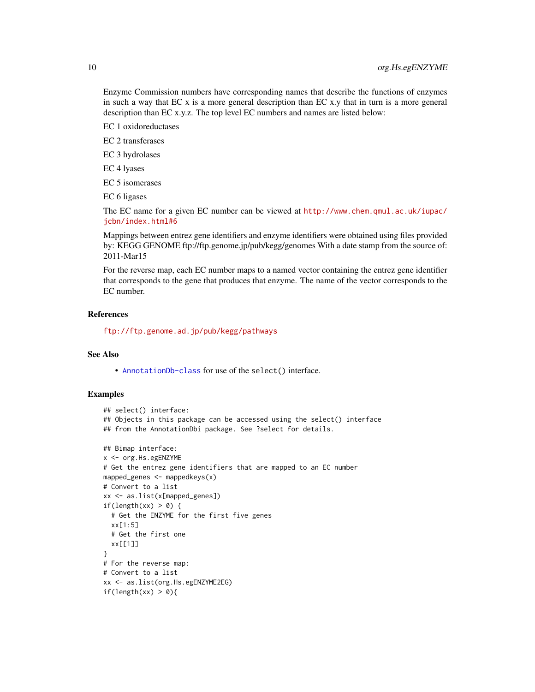Enzyme Commission numbers have corresponding names that describe the functions of enzymes in such a way that EC  $x$  is a more general description than EC  $x,y$  that in turn is a more general description than EC x.y.z. The top level EC numbers and names are listed below:

EC 1 oxidoreductases

EC 2 transferases

EC 3 hydrolases

EC 4 lyases

EC 5 isomerases

EC 6 ligases

The EC name for a given EC number can be viewed at [http://www.chem.qmul.ac.uk/iupac/](http://www.chem.qmul.ac.uk/iupac/jcbn/index.html#6) [jcbn/index.html#6](http://www.chem.qmul.ac.uk/iupac/jcbn/index.html#6)

Mappings between entrez gene identifiers and enzyme identifiers were obtained using files provided by: KEGG GENOME ftp://ftp.genome.jp/pub/kegg/genomes With a date stamp from the source of: 2011-Mar15

For the reverse map, each EC number maps to a named vector containing the entrez gene identifier that corresponds to the gene that produces that enzyme. The name of the vector corresponds to the EC number.

## References

<ftp://ftp.genome.ad.jp/pub/kegg/pathways>

## See Also

• [AnnotationDb-class](#page-0-0) for use of the select() interface.

```
## select() interface:
## Objects in this package can be accessed using the select() interface
## from the AnnotationDbi package. See ?select for details.
## Bimap interface:
x <- org.Hs.egENZYME
# Get the entrez gene identifiers that are mapped to an EC number
mapped_genes \leq mappedkeys(x)
# Convert to a list
xx <- as.list(x[mapped_genes])
if(length(xx) > 0) {
  # Get the ENZYME for the first five genes
  xx[1:5]
  # Get the first one
  xx[[1]]
}
# For the reverse map:
# Convert to a list
xx <- as.list(org.Hs.egENZYME2EG)
if(length(xx) > 0){
```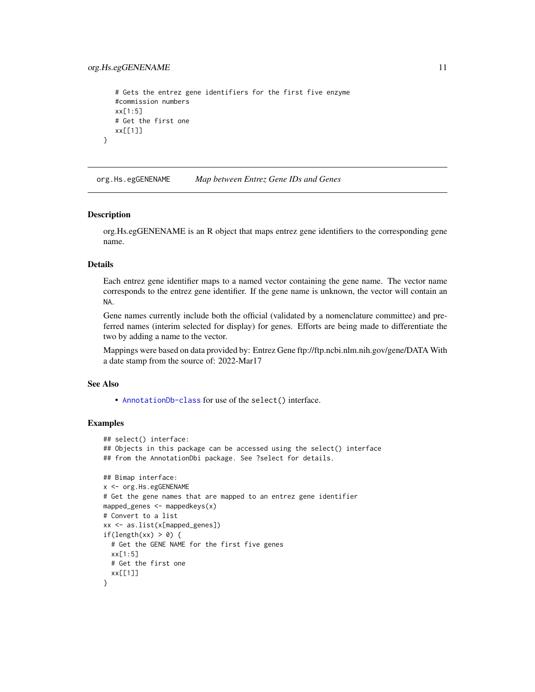```
# Gets the entrez gene identifiers for the first five enzyme
   #commission numbers
  xx[1:5]
  # Get the first one
  xx[[1]]
}
```
org.Hs.egGENENAME *Map between Entrez Gene IDs and Genes*

#### Description

org.Hs.egGENENAME is an R object that maps entrez gene identifiers to the corresponding gene name.

## Details

Each entrez gene identifier maps to a named vector containing the gene name. The vector name corresponds to the entrez gene identifier. If the gene name is unknown, the vector will contain an NA.

Gene names currently include both the official (validated by a nomenclature committee) and preferred names (interim selected for display) for genes. Efforts are being made to differentiate the two by adding a name to the vector.

Mappings were based on data provided by: Entrez Gene ftp://ftp.ncbi.nlm.nih.gov/gene/DATA With a date stamp from the source of: 2022-Mar17

#### See Also

• [AnnotationDb-class](#page-0-0) for use of the select() interface.

```
## select() interface:
## Objects in this package can be accessed using the select() interface
## from the AnnotationDbi package. See ?select for details.
## Bimap interface:
x <- org.Hs.egGENENAME
# Get the gene names that are mapped to an entrez gene identifier
mapped_genes <- mappedkeys(x)
# Convert to a list
xx <- as.list(x[mapped_genes])
if(length(xx) > 0) {
  # Get the GENE NAME for the first five genes
  xx[1:5]
  # Get the first one
  xx[[1]]
}
```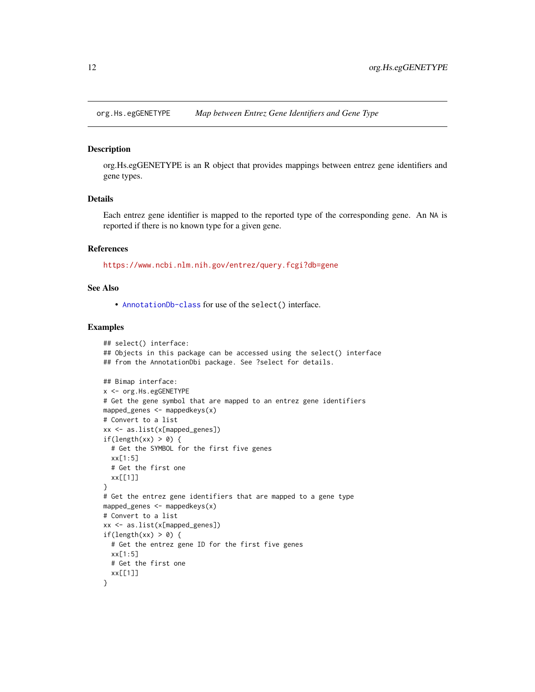<span id="page-11-0"></span>

org.Hs.egGENETYPE is an R object that provides mappings between entrez gene identifiers and gene types.

## Details

Each entrez gene identifier is mapped to the reported type of the corresponding gene. An NA is reported if there is no known type for a given gene.

#### References

<https://www.ncbi.nlm.nih.gov/entrez/query.fcgi?db=gene>

#### See Also

• [AnnotationDb-class](#page-0-0) for use of the select() interface.

```
## select() interface:
## Objects in this package can be accessed using the select() interface
## from the AnnotationDbi package. See ?select for details.
## Bimap interface:
x <- org.Hs.egGENETYPE
# Get the gene symbol that are mapped to an entrez gene identifiers
mapped_genes \leq mappedkeys(x)# Convert to a list
xx <- as.list(x[mapped_genes])
if(length(xx) > 0) {
  # Get the SYMBOL for the first five genes
  xx[1:5]
  # Get the first one
  xx[[1]]
}
# Get the entrez gene identifiers that are mapped to a gene type
mapped_genes <- mappedkeys(x)
# Convert to a list
xx <- as.list(x[mapped_genes])
if(length(xx) > 0) {
  # Get the entrez gene ID for the first five genes
  xx[1:5]
  # Get the first one
  xx[[1]]
}
```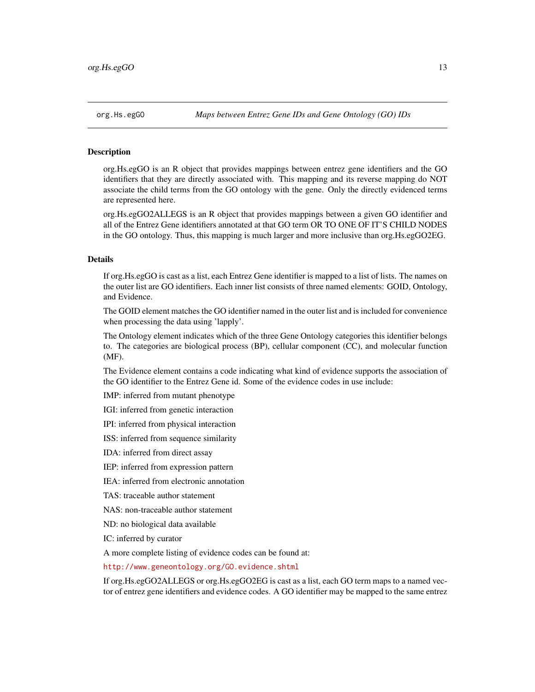<span id="page-12-1"></span><span id="page-12-0"></span>

org.Hs.egGO is an R object that provides mappings between entrez gene identifiers and the GO identifiers that they are directly associated with. This mapping and its reverse mapping do NOT associate the child terms from the GO ontology with the gene. Only the directly evidenced terms are represented here.

org.Hs.egGO2ALLEGS is an R object that provides mappings between a given GO identifier and all of the Entrez Gene identifiers annotated at that GO term OR TO ONE OF IT'S CHILD NODES in the GO ontology. Thus, this mapping is much larger and more inclusive than org.Hs.egGO2EG.

## Details

If org.Hs.egGO is cast as a list, each Entrez Gene identifier is mapped to a list of lists. The names on the outer list are GO identifiers. Each inner list consists of three named elements: GOID, Ontology, and Evidence.

The GOID element matches the GO identifier named in the outer list and is included for convenience when processing the data using 'lapply'.

The Ontology element indicates which of the three Gene Ontology categories this identifier belongs to. The categories are biological process (BP), cellular component (CC), and molecular function (MF).

The Evidence element contains a code indicating what kind of evidence supports the association of the GO identifier to the Entrez Gene id. Some of the evidence codes in use include:

IMP: inferred from mutant phenotype

IGI: inferred from genetic interaction

IPI: inferred from physical interaction

ISS: inferred from sequence similarity

IDA: inferred from direct assay

IEP: inferred from expression pattern

IEA: inferred from electronic annotation

TAS: traceable author statement

NAS: non-traceable author statement

ND: no biological data available

IC: inferred by curator

A more complete listing of evidence codes can be found at:

<http://www.geneontology.org/GO.evidence.shtml>

If org.Hs.egGO2ALLEGS or org.Hs.egGO2EG is cast as a list, each GO term maps to a named vector of entrez gene identifiers and evidence codes. A GO identifier may be mapped to the same entrez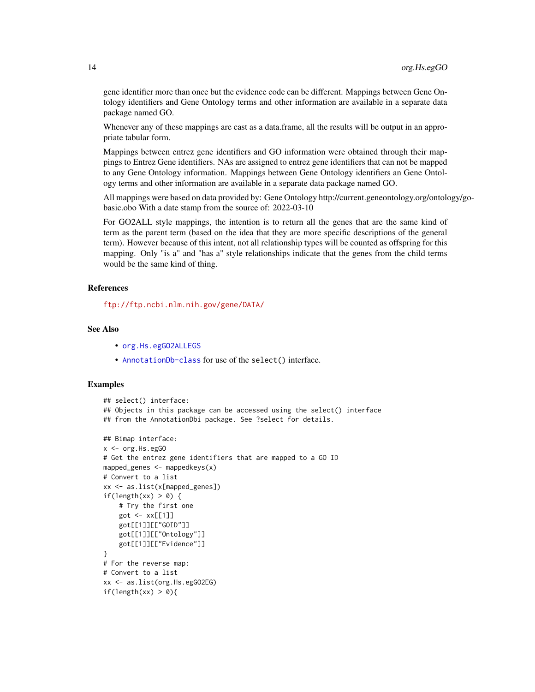gene identifier more than once but the evidence code can be different. Mappings between Gene Ontology identifiers and Gene Ontology terms and other information are available in a separate data package named GO.

Whenever any of these mappings are cast as a data.frame, all the results will be output in an appropriate tabular form.

Mappings between entrez gene identifiers and GO information were obtained through their mappings to Entrez Gene identifiers. NAs are assigned to entrez gene identifiers that can not be mapped to any Gene Ontology information. Mappings between Gene Ontology identifiers an Gene Ontology terms and other information are available in a separate data package named GO.

All mappings were based on data provided by: Gene Ontology http://current.geneontology.org/ontology/gobasic.obo With a date stamp from the source of: 2022-03-10

For GO2ALL style mappings, the intention is to return all the genes that are the same kind of term as the parent term (based on the idea that they are more specific descriptions of the general term). However because of this intent, not all relationship types will be counted as offspring for this mapping. Only "is a" and "has a" style relationships indicate that the genes from the child terms would be the same kind of thing.

## References

<ftp://ftp.ncbi.nlm.nih.gov/gene/DATA/>

#### See Also

- [org.Hs.egGO2ALLEGS](#page-12-0)
- [AnnotationDb-class](#page-0-0) for use of the select() interface.

```
## select() interface:
## Objects in this package can be accessed using the select() interface
## from the AnnotationDbi package. See ?select for details.
## Bimap interface:
x < - org. Hs. egGO
# Get the entrez gene identifiers that are mapped to a GO ID
mapped_genes \leq mappedkeys(x)
# Convert to a list
xx <- as.list(x[mapped_genes])
if(length(xx) > 0) {
    # Try the first one
    got <- xx[[1]]
    got[[1]][["GOID"]]
    got[[1]][["Ontology"]]
    got[[1]][["Evidence"]]
}
# For the reverse map:
# Convert to a list
xx <- as.list(org.Hs.egGO2EG)
if(length(xx) > 0){
```
<span id="page-13-0"></span>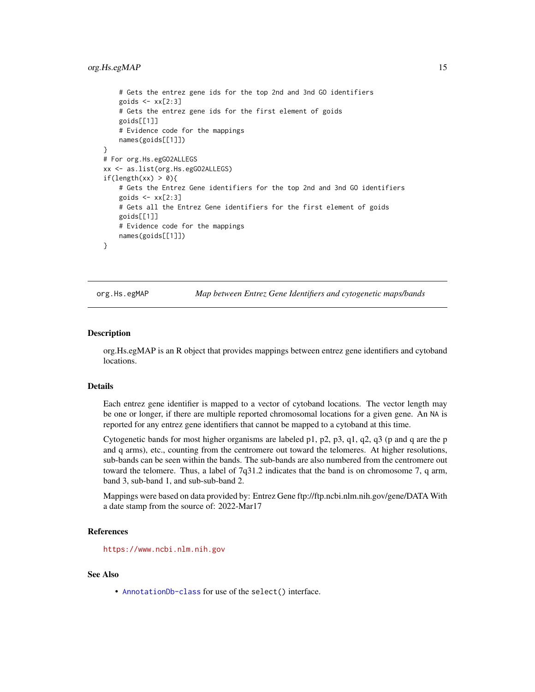#### <span id="page-14-0"></span>org.Hs.egMAP 15

```
# Gets the entrez gene ids for the top 2nd and 3nd GO identifiers
    goids \leq -x \times [2:3]# Gets the entrez gene ids for the first element of goids
   goids[[1]]
   # Evidence code for the mappings
   names(goids[[1]])
}
# For org.Hs.egGO2ALLEGS
xx <- as.list(org.Hs.egGO2ALLEGS)
if(length(xx) > 0){
    # Gets the Entrez Gene identifiers for the top 2nd and 3nd GO identifiers
    goids \leq xx[2:3]# Gets all the Entrez Gene identifiers for the first element of goids
   goids[[1]]
   # Evidence code for the mappings
   names(goids[[1]])
}
```
org.Hs.egMAP *Map between Entrez Gene Identifiers and cytogenetic maps/bands*

#### **Description**

org.Hs.egMAP is an R object that provides mappings between entrez gene identifiers and cytoband locations.

## Details

Each entrez gene identifier is mapped to a vector of cytoband locations. The vector length may be one or longer, if there are multiple reported chromosomal locations for a given gene. An NA is reported for any entrez gene identifiers that cannot be mapped to a cytoband at this time.

Cytogenetic bands for most higher organisms are labeled p1, p2, p3, q1, q2, q3 (p and q are the p and q arms), etc., counting from the centromere out toward the telomeres. At higher resolutions, sub-bands can be seen within the bands. The sub-bands are also numbered from the centromere out toward the telomere. Thus, a label of 7q31.2 indicates that the band is on chromosome 7, q arm, band 3, sub-band 1, and sub-sub-band 2.

Mappings were based on data provided by: Entrez Gene ftp://ftp.ncbi.nlm.nih.gov/gene/DATA With a date stamp from the source of: 2022-Mar17

## References

<https://www.ncbi.nlm.nih.gov>

#### See Also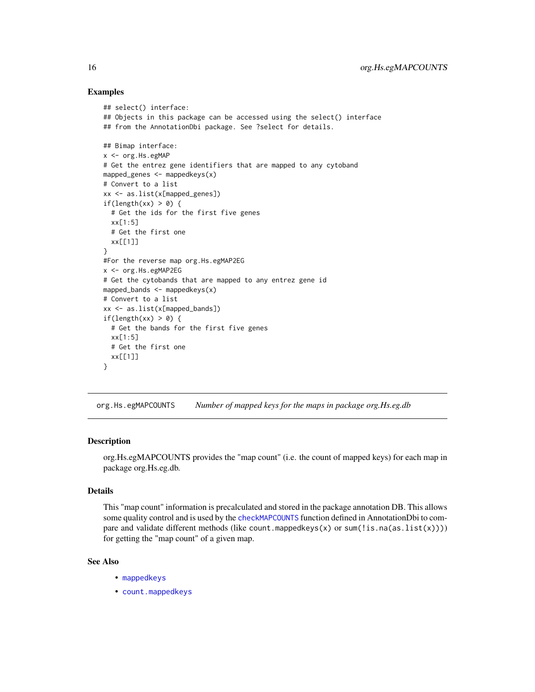```
## select() interface:
## Objects in this package can be accessed using the select() interface
## from the AnnotationDbi package. See ?select for details.
## Bimap interface:
x <- org.Hs.egMAP
# Get the entrez gene identifiers that are mapped to any cytoband
mapped_genes \leq mappedkeys(x)
# Convert to a list
xx <- as.list(x[mapped_genes])
if(length(xx) > 0) {
  # Get the ids for the first five genes
  xx[1:5]
  # Get the first one
  xx[[1]]
}
#For the reverse map org.Hs.egMAP2EG
x <- org.Hs.egMAP2EG
# Get the cytobands that are mapped to any entrez gene id
mapped_bands \leq mappedkeys(x)
# Convert to a list
xx <- as.list(x[mapped_bands])
if(length(xx) > 0) {
  # Get the bands for the first five genes
  xx[1:5]
  # Get the first one
  xx[[1]]
}
```
org.Hs.egMAPCOUNTS *Number of mapped keys for the maps in package org.Hs.eg.db*

## Description

org.Hs.egMAPCOUNTS provides the "map count" (i.e. the count of mapped keys) for each map in package org.Hs.eg.db.

#### Details

This "map count" information is precalculated and stored in the package annotation DB. This allows some quality control and is used by the [checkMAPCOUNTS](#page-0-0) function defined in AnnotationDbi to compare and validate different methods (like count.mappedkeys $(x)$  or sum(!is.na(as.list(x)))) for getting the "map count" of a given map.

## See Also

- [mappedkeys](#page-0-0)
- [count.mappedkeys](#page-0-0)

<span id="page-15-0"></span>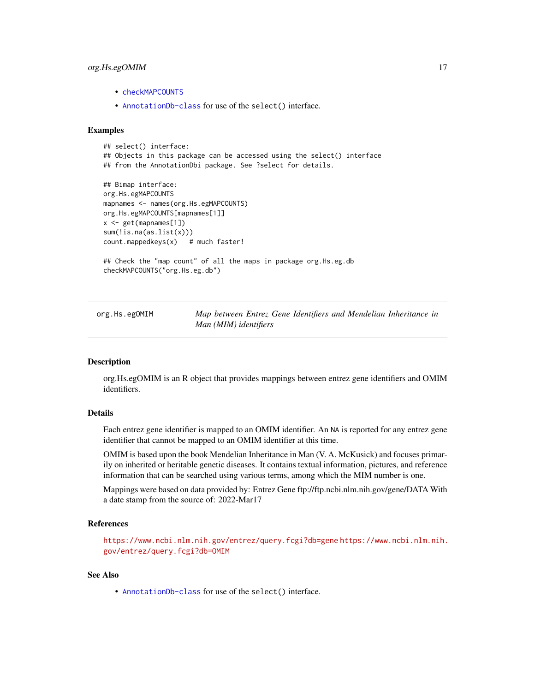## <span id="page-16-0"></span>org.Hs.egOMIM 17

- [checkMAPCOUNTS](#page-0-0)
- [AnnotationDb-class](#page-0-0) for use of the select() interface.

#### Examples

```
## select() interface:
## Objects in this package can be accessed using the select() interface
## from the AnnotationDbi package. See ?select for details.
## Bimap interface:
org.Hs.egMAPCOUNTS
mapnames <- names(org.Hs.egMAPCOUNTS)
```

```
org.Hs.egMAPCOUNTS[mapnames[1]]
x <- get(mapnames[1])
sum(!is.na(as.list(x)))
count.\text{mappedkeys}(x) # much faster!
```

```
## Check the "map count" of all the maps in package org.Hs.eg.db
checkMAPCOUNTS("org.Hs.eg.db")
```
org.Hs.egOMIM *Map between Entrez Gene Identifiers and Mendelian Inheritance in Man (MIM) identifiers*

#### **Description**

org.Hs.egOMIM is an R object that provides mappings between entrez gene identifiers and OMIM identifiers.

## Details

Each entrez gene identifier is mapped to an OMIM identifier. An NA is reported for any entrez gene identifier that cannot be mapped to an OMIM identifier at this time.

OMIM is based upon the book Mendelian Inheritance in Man (V. A. McKusick) and focuses primarily on inherited or heritable genetic diseases. It contains textual information, pictures, and reference information that can be searched using various terms, among which the MIM number is one.

Mappings were based on data provided by: Entrez Gene ftp://ftp.ncbi.nlm.nih.gov/gene/DATA With a date stamp from the source of: 2022-Mar17

## References

<https://www.ncbi.nlm.nih.gov/entrez/query.fcgi?db=gene> [https://www.ncbi.nlm.nih.](https://www.ncbi.nlm.nih.gov/entrez/query.fcgi?db=OMIM) [gov/entrez/query.fcgi?db=OMIM](https://www.ncbi.nlm.nih.gov/entrez/query.fcgi?db=OMIM)

## See Also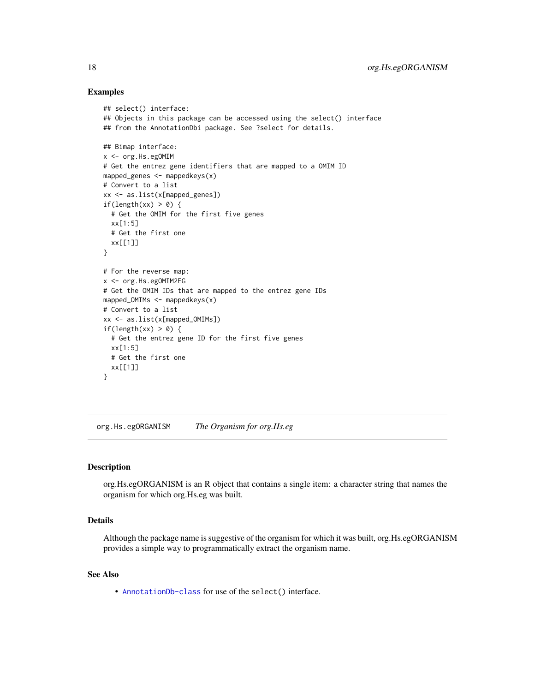```
## select() interface:
## Objects in this package can be accessed using the select() interface
## from the AnnotationDbi package. See ?select for details.
## Bimap interface:
x <- org.Hs.egOMIM
# Get the entrez gene identifiers that are mapped to a OMIM ID
mapped_genes <- mappedkeys(x)
# Convert to a list
xx <- as.list(x[mapped_genes])
if(length(xx) > 0) {
  # Get the OMIM for the first five genes
  xx[1:5]
  # Get the first one
  xx[[1]]
}
# For the reverse map:
x <- org.Hs.egOMIM2EG
# Get the OMIM IDs that are mapped to the entrez gene IDs
mapped_OMIMs <- mappedkeys(x)
# Convert to a list
xx <- as.list(x[mapped_OMIMs])
if(length(xx) > 0) {
  # Get the entrez gene ID for the first five genes
  xx[1:5]
  # Get the first one
  xx[[1]]
}
```
org.Hs.egORGANISM *The Organism for org.Hs.eg*

## **Description**

org.Hs.egORGANISM is an R object that contains a single item: a character string that names the organism for which org.Hs.eg was built.

## Details

Although the package name is suggestive of the organism for which it was built, org.Hs.egORGANISM provides a simple way to programmatically extract the organism name.

#### See Also

<span id="page-17-0"></span>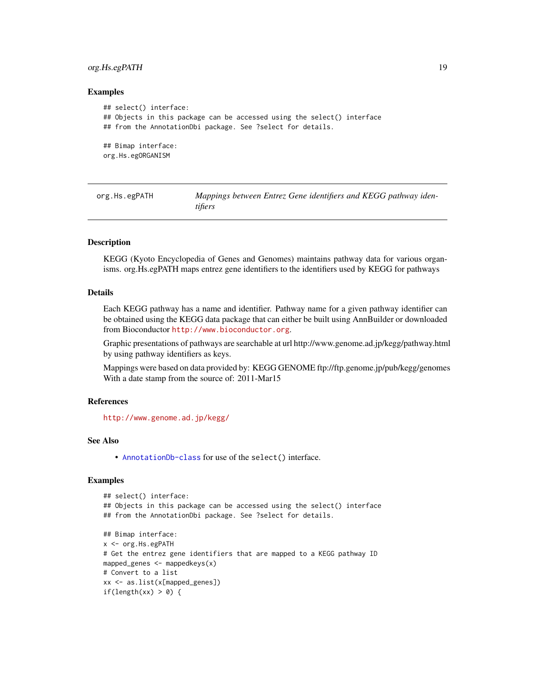## <span id="page-18-0"></span>org.Hs.egPATH 19

#### Examples

```
## select() interface:
## Objects in this package can be accessed using the select() interface
## from the AnnotationDbi package. See ?select for details.
## Bimap interface:
org.Hs.egORGANISM
```
org.Hs.egPATH *Mappings between Entrez Gene identifiers and KEGG pathway identifiers*

#### Description

KEGG (Kyoto Encyclopedia of Genes and Genomes) maintains pathway data for various organisms. org.Hs.egPATH maps entrez gene identifiers to the identifiers used by KEGG for pathways

#### Details

Each KEGG pathway has a name and identifier. Pathway name for a given pathway identifier can be obtained using the KEGG data package that can either be built using AnnBuilder or downloaded from Bioconductor <http://www.bioconductor.org>.

Graphic presentations of pathways are searchable at url http://www.genome.ad.jp/kegg/pathway.html by using pathway identifiers as keys.

Mappings were based on data provided by: KEGG GENOME ftp://ftp.genome.jp/pub/kegg/genomes With a date stamp from the source of: 2011-Mar15

## References

<http://www.genome.ad.jp/kegg/>

#### See Also

• [AnnotationDb-class](#page-0-0) for use of the select() interface.

```
## select() interface:
## Objects in this package can be accessed using the select() interface
## from the AnnotationDbi package. See ?select for details.
## Bimap interface:
x <- org.Hs.egPATH
# Get the entrez gene identifiers that are mapped to a KEGG pathway ID
mapped_genes <- mappedkeys(x)
# Convert to a list
xx <- as.list(x[mapped_genes])
if(length(xx) > 0) {
```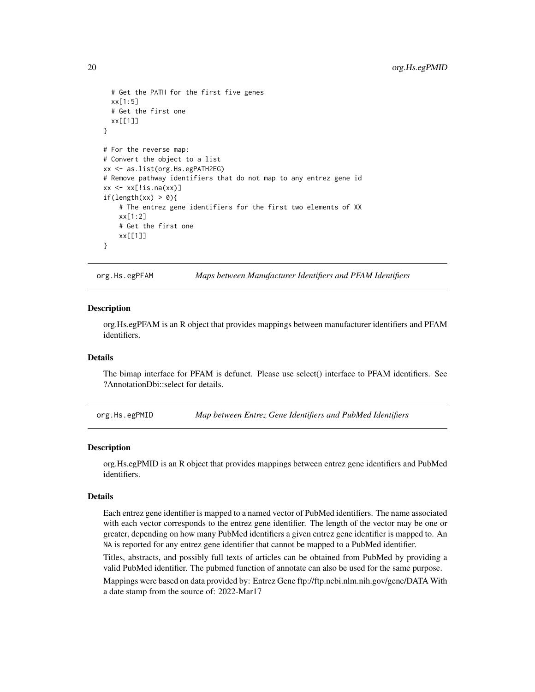```
# Get the PATH for the first five genes
 xx[1:5]
 # Get the first one
 xx[[1]]
}
# For the reverse map:
# Convert the object to a list
xx <- as.list(org.Hs.egPATH2EG)
# Remove pathway identifiers that do not map to any entrez gene id
xx \leq x[\text{!is}.\text{na}(xx)]if(length(xx) > 0){
    # The entrez gene identifiers for the first two elements of XX
    xx[1:2]
    # Get the first one
    xx[[1]]
}
```
org.Hs.egPFAM *Maps between Manufacturer Identifiers and PFAM Identifiers*

#### Description

org.Hs.egPFAM is an R object that provides mappings between manufacturer identifiers and PFAM identifiers.

#### Details

The bimap interface for PFAM is defunct. Please use select() interface to PFAM identifiers. See ?AnnotationDbi::select for details.

org.Hs.egPMID *Map between Entrez Gene Identifiers and PubMed Identifiers*

#### Description

org.Hs.egPMID is an R object that provides mappings between entrez gene identifiers and PubMed identifiers.

#### Details

Each entrez gene identifier is mapped to a named vector of PubMed identifiers. The name associated with each vector corresponds to the entrez gene identifier. The length of the vector may be one or greater, depending on how many PubMed identifiers a given entrez gene identifier is mapped to. An NA is reported for any entrez gene identifier that cannot be mapped to a PubMed identifier.

Titles, abstracts, and possibly full texts of articles can be obtained from PubMed by providing a valid PubMed identifier. The pubmed function of annotate can also be used for the same purpose.

Mappings were based on data provided by: Entrez Gene ftp://ftp.ncbi.nlm.nih.gov/gene/DATA With a date stamp from the source of: 2022-Mar17

<span id="page-19-0"></span>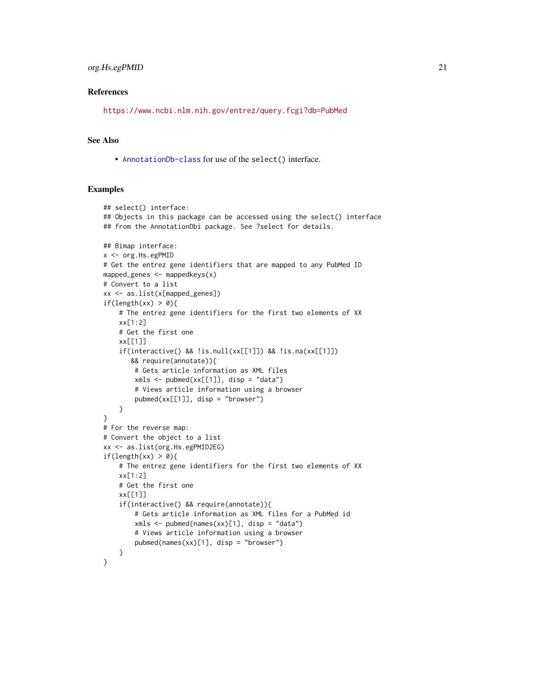#### References

<https://www.ncbi.nlm.nih.gov/entrez/query.fcgi?db=PubMed>

#### See Also

• [AnnotationDb-class](#page-0-0) for use of the select() interface.

```
## select() interface:
## Objects in this package can be accessed using the select() interface
## from the AnnotationDbi package. See ?select for details.
## Bimap interface:
x <- org.Hs.egPMID
# Get the entrez gene identifiers that are mapped to any PubMed ID
mapped_genes <- mappedkeys(x)
# Convert to a list
xx <- as.list(x[mapped_genes])
if(length(xx) > 0){
    # The entrez gene identifiers for the first two elements of XX
    xx[1:2]
    # Get the first one
    xx[[1]]
    if(interactive() && !is.null(xx[[1]]) && !is.na(xx[[1]])
       && require(annotate)){
       # Gets article information as XML files
       xmls < -pubmed(xx[[1]], disp = "data")# Views article information using a browser
        pubmed(xx[[1]], disp = "browser")
    }
}
# For the reverse map:
# Convert the object to a list
xx <- as.list(org.Hs.egPMID2EG)
if(length(xx) > 0){
    # The entrez gene identifiers for the first two elements of XX
    xx[1:2]
    # Get the first one
    xx[[1]]
    if(interactive() && require(annotate)){
        # Gets article information as XML files for a PubMed id
        xmls < -pubmed(names(xx)[1], disp = "data")# Views article information using a browser
        pubmed(names(xx)[1], disp = "browser")
    }
}
```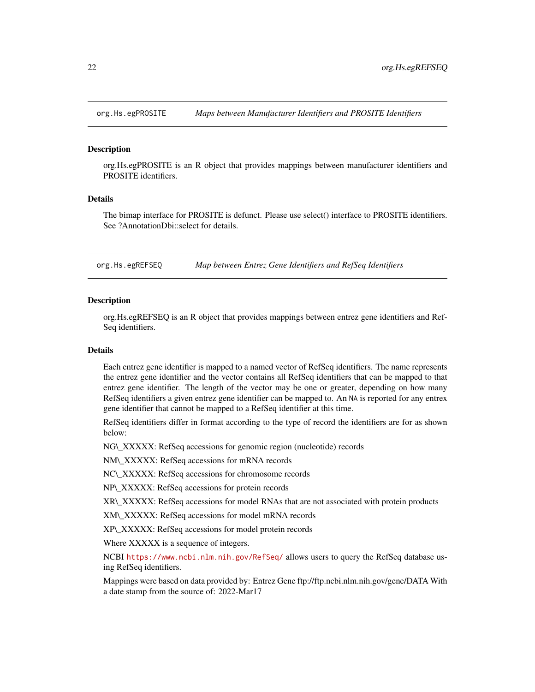<span id="page-21-0"></span>

org.Hs.egPROSITE is an R object that provides mappings between manufacturer identifiers and PROSITE identifiers.

## Details

The bimap interface for PROSITE is defunct. Please use select() interface to PROSITE identifiers. See ?AnnotationDbi::select for details.

org.Hs.egREFSEQ *Map between Entrez Gene Identifiers and RefSeq Identifiers*

#### **Description**

org.Hs.egREFSEQ is an R object that provides mappings between entrez gene identifiers and Ref-Seq identifiers.

#### Details

Each entrez gene identifier is mapped to a named vector of RefSeq identifiers. The name represents the entrez gene identifier and the vector contains all RefSeq identifiers that can be mapped to that entrez gene identifier. The length of the vector may be one or greater, depending on how many RefSeq identifiers a given entrez gene identifier can be mapped to. An NA is reported for any entrex gene identifier that cannot be mapped to a RefSeq identifier at this time.

RefSeq identifiers differ in format according to the type of record the identifiers are for as shown below:

NG\\_XXXXX: RefSeq accessions for genomic region (nucleotide) records

NM\\_XXXXX: RefSeq accessions for mRNA records

NC\\_XXXXX: RefSeq accessions for chromosome records

NP\\_XXXXX: RefSeq accessions for protein records

XR\\_XXXXX: RefSeq accessions for model RNAs that are not associated with protein products

XM\\_XXXXX: RefSeq accessions for model mRNA records

XP\\_XXXXX: RefSeq accessions for model protein records

Where XXXXX is a sequence of integers.

NCBI <https://www.ncbi.nlm.nih.gov/RefSeq/> allows users to query the RefSeq database using RefSeq identifiers.

Mappings were based on data provided by: Entrez Gene ftp://ftp.ncbi.nlm.nih.gov/gene/DATA With a date stamp from the source of: 2022-Mar17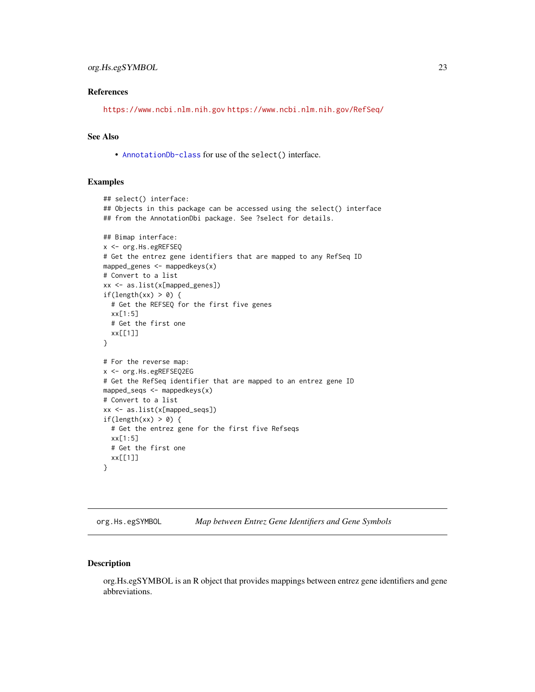#### <span id="page-22-0"></span>References

<https://www.ncbi.nlm.nih.gov> <https://www.ncbi.nlm.nih.gov/RefSeq/>

## See Also

• [AnnotationDb-class](#page-0-0) for use of the select() interface.

#### Examples

```
## select() interface:
## Objects in this package can be accessed using the select() interface
## from the AnnotationDbi package. See ?select for details.
## Bimap interface:
x <- org.Hs.egREFSEQ
# Get the entrez gene identifiers that are mapped to any RefSeq ID
mapped_genes <- mappedkeys(x)
# Convert to a list
xx <- as.list(x[mapped_genes])
if(length(xx) > 0) {
  # Get the REFSEQ for the first five genes
  xx[1:5]
  # Get the first one
  xx[[1]]
}
# For the reverse map:
x <- org.Hs.egREFSEQ2EG
# Get the RefSeq identifier that are mapped to an entrez gene ID
mapped_seqs <- mappedkeys(x)
# Convert to a list
xx <- as.list(x[mapped_seqs])
if(length(xx) > 0) {
  # Get the entrez gene for the first five Refseqs
  xx[1:5]
  # Get the first one
  xx[[1]]
}
```
org.Hs.egSYMBOL *Map between Entrez Gene Identifiers and Gene Symbols*

## Description

org.Hs.egSYMBOL is an R object that provides mappings between entrez gene identifiers and gene abbreviations.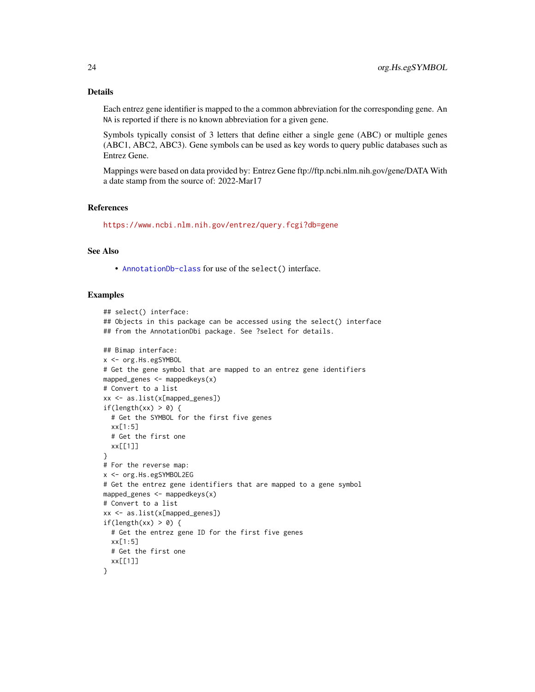## Details

Each entrez gene identifier is mapped to the a common abbreviation for the corresponding gene. An NA is reported if there is no known abbreviation for a given gene.

Symbols typically consist of 3 letters that define either a single gene (ABC) or multiple genes (ABC1, ABC2, ABC3). Gene symbols can be used as key words to query public databases such as Entrez Gene.

Mappings were based on data provided by: Entrez Gene ftp://ftp.ncbi.nlm.nih.gov/gene/DATA With a date stamp from the source of: 2022-Mar17

#### References

<https://www.ncbi.nlm.nih.gov/entrez/query.fcgi?db=gene>

## See Also

• [AnnotationDb-class](#page-0-0) for use of the select() interface.

```
## select() interface:
## Objects in this package can be accessed using the select() interface
## from the AnnotationDbi package. See ?select for details.
## Bimap interface:
x <- org.Hs.egSYMBOL
# Get the gene symbol that are mapped to an entrez gene identifiers
mapped_genes <- mappedkeys(x)
# Convert to a list
xx <- as.list(x[mapped_genes])
if(length(xx) > 0) {
  # Get the SYMBOL for the first five genes
  xx[1:5]
  # Get the first one
  xx[[1]]
}
# For the reverse map:
x <- org.Hs.egSYMBOL2EG
# Get the entrez gene identifiers that are mapped to a gene symbol
mapped_genes <- mappedkeys(x)
# Convert to a list
xx <- as.list(x[mapped_genes])
if(length(xx) > 0) {
  # Get the entrez gene ID for the first five genes
  xx[1:5]
  # Get the first one
  xx[[1]]
}
```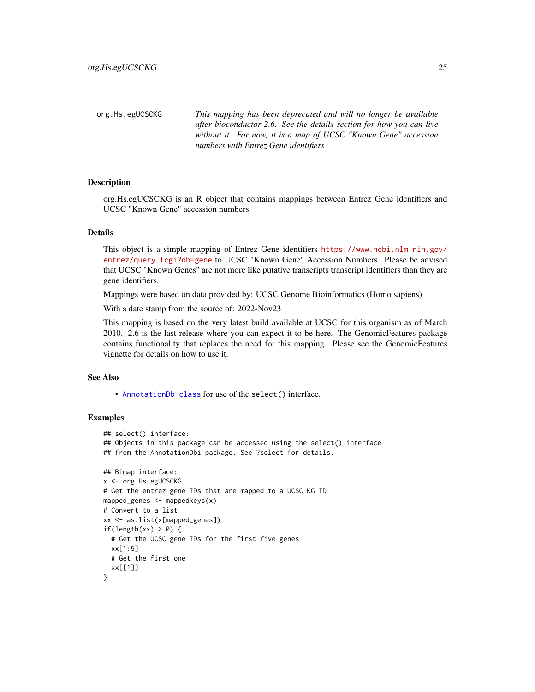<span id="page-24-0"></span>

| org.Hs.egUCSCKG | This mapping has been deprecated and will no longer be available     |
|-----------------|----------------------------------------------------------------------|
|                 | after bioconductor 2.6. See the details section for how you can live |
|                 | without it. For now, it is a map of UCSC "Known Gene" accession      |
|                 | numbers with Entrez Gene identifiers                                 |
|                 |                                                                      |

org.Hs.egUCSCKG is an R object that contains mappings between Entrez Gene identifiers and UCSC "Known Gene" accession numbers.

#### Details

This object is a simple mapping of Entrez Gene identifiers [https://www.ncbi.nlm.nih.gov/](https://www.ncbi.nlm.nih.gov/entrez/query.fcgi?db=gene) [entrez/query.fcgi?db=gene](https://www.ncbi.nlm.nih.gov/entrez/query.fcgi?db=gene) to UCSC "Known Gene" Accession Numbers. Please be advised that UCSC "Known Genes" are not more like putative transcripts transcript identifiers than they are gene identifiers.

Mappings were based on data provided by: UCSC Genome Bioinformatics (Homo sapiens)

With a date stamp from the source of: 2022-Nov23

This mapping is based on the very latest build available at UCSC for this organism as of March 2010. 2.6 is the last release where you can expect it to be here. The GenomicFeatures package contains functionality that replaces the need for this mapping. Please see the GenomicFeatures vignette for details on how to use it.

## See Also

• [AnnotationDb-class](#page-0-0) for use of the select() interface.

```
## select() interface:
## Objects in this package can be accessed using the select() interface
## from the AnnotationDbi package. See ?select for details.
## Bimap interface:
x <- org.Hs.egUCSCKG
# Get the entrez gene IDs that are mapped to a UCSC KG ID
mapped_genes <- mappedkeys(x)
# Convert to a list
xx <- as.list(x[mapped_genes])
if(length(xx) > 0) {
 # Get the UCSC gene IDs for the first five genes
 xx[1:5]
 # Get the first one
 xx[[1]]
}
```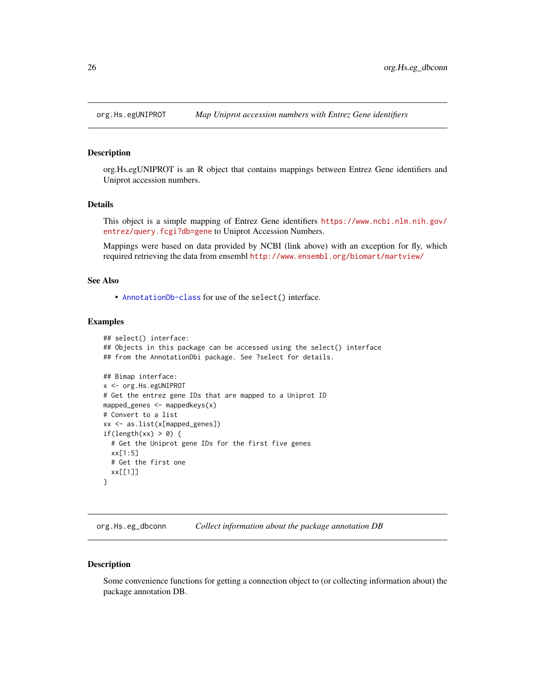<span id="page-25-0"></span>

org.Hs.egUNIPROT is an R object that contains mappings between Entrez Gene identifiers and Uniprot accession numbers.

#### Details

This object is a simple mapping of Entrez Gene identifiers [https://www.ncbi.nlm.nih.gov/](https://www.ncbi.nlm.nih.gov/entrez/query.fcgi?db=gene) [entrez/query.fcgi?db=gene](https://www.ncbi.nlm.nih.gov/entrez/query.fcgi?db=gene) to Uniprot Accession Numbers.

Mappings were based on data provided by NCBI (link above) with an exception for fly, which required retrieving the data from ensembl <http://www.ensembl.org/biomart/martview/>

#### See Also

• [AnnotationDb-class](#page-0-0) for use of the select() interface.

## Examples

```
## select() interface:
## Objects in this package can be accessed using the select() interface
## from the AnnotationDbi package. See ?select for details.
## Bimap interface:
x <- org.Hs.egUNIPROT
# Get the entrez gene IDs that are mapped to a Uniprot ID
mapped_genes <- mappedkeys(x)
# Convert to a list
xx <- as.list(x[mapped_genes])
if(length(xx) > 0) {
  # Get the Uniprot gene IDs for the first five genes
  xx[1:5]
  # Get the first one
  xx[[1]]
}
```
org.Hs.eg\_dbconn *Collect information about the package annotation DB*

#### Description

Some convenience functions for getting a connection object to (or collecting information about) the package annotation DB.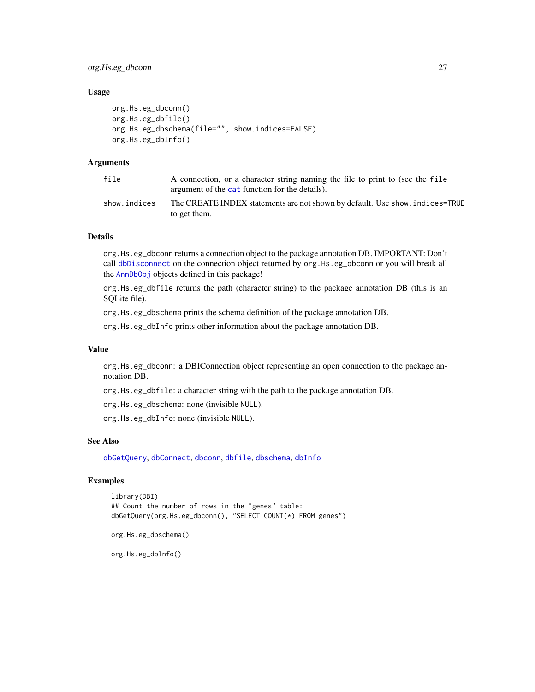<span id="page-26-0"></span>org.Hs.eg\_dbconn 27

## Usage

```
org.Hs.eg_dbconn()
org.Hs.eg_dbfile()
org.Hs.eg_dbschema(file="", show.indices=FALSE)
org.Hs.eg_dbInfo()
```
## Arguments

| file         | A connection, or a character string naming the file to print to (see the file<br>argument of the cat function for the details). |
|--------------|---------------------------------------------------------------------------------------------------------------------------------|
| show.indices | The CREATE INDEX statements are not shown by default. Use show, indices=TRUE<br>to get them.                                    |

## Details

org.Hs.eg\_dbconn returns a connection object to the package annotation DB. IMPORTANT: Don't call [dbDisconnect](#page-0-0) on the connection object returned by org.Hs.eg\_dbconn or you will break all the [AnnDbObj](#page-0-0) objects defined in this package!

org.Hs.eg\_dbfile returns the path (character string) to the package annotation DB (this is an SQLite file).

org.Hs.eg\_dbschema prints the schema definition of the package annotation DB.

org.Hs.eg\_dbInfo prints other information about the package annotation DB.

#### Value

org.Hs.eg\_dbconn: a DBIConnection object representing an open connection to the package annotation DB.

org.Hs.eg\_dbfile: a character string with the path to the package annotation DB.

org.Hs.eg\_dbschema: none (invisible NULL).

org.Hs.eg\_dbInfo: none (invisible NULL).

## See Also

[dbGetQuery](#page-0-0), [dbConnect](#page-0-0), [dbconn](#page-0-0), [dbfile](#page-0-0), [dbschema](#page-0-0), [dbInfo](#page-0-0)

## Examples

```
library(DBI)
## Count the number of rows in the "genes" table:
dbGetQuery(org.Hs.eg_dbconn(), "SELECT COUNT(*) FROM genes")
```
org.Hs.eg\_dbschema()

org.Hs.eg\_dbInfo()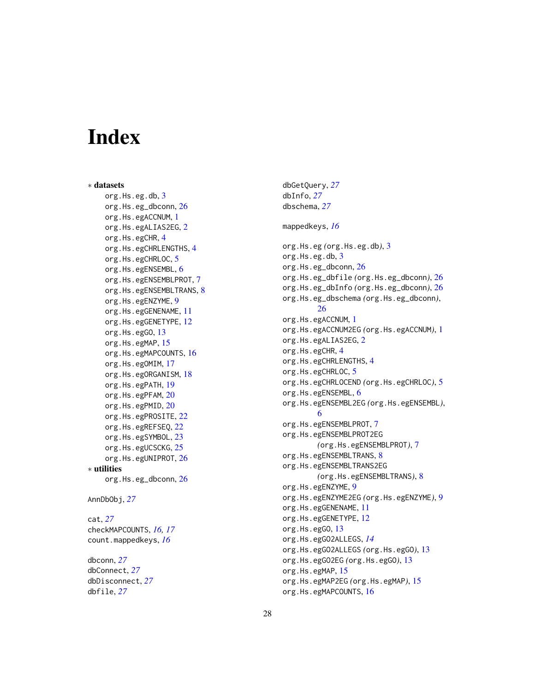# Index

∗ datasets org.Hs.eg.db, <mark>[3](#page-2-0)</mark> org.Hs.eg\_dbconn , [26](#page-25-0) org.Hs.egACCNUM , [1](#page-0-1) org.Hs.egALIAS2EG , [2](#page-1-0) org.Hs.egCHR, [4](#page-3-0) org.Hs.egCHRLENGTHS, [4](#page-3-0) org.Hs.egCHRLOC, [5](#page-4-0) org.Hs.egENSEMBL, [6](#page-5-0) org.Hs.egENSEMBLPROT, [7](#page-6-0) org.Hs.egENSEMBLTRANS, [8](#page-7-0) org.Hs.egENZYME, [9](#page-8-0) org.Hs.egGENENAME, [11](#page-10-0) org.Hs.egGENETYPE, [12](#page-11-0) org.Hs.egG0, [13](#page-12-1) org.Hs.egMAP, [15](#page-14-0) org.Hs.egMAPCOUNTS, [16](#page-15-0) org.Hs.egOMIM, [17](#page-16-0) org.Hs.egORGANISM, [18](#page-17-0) org.Hs.egPATH, [19](#page-18-0) org.Hs.egPFAM, [20](#page-19-0) org.Hs.egPMID, [20](#page-19-0) org.Hs.egPROSITE , [22](#page-21-0) org.Hs.egREFSEQ, [22](#page-21-0) org.Hs.egSYMBOL, [23](#page-22-0) org.Hs.egUCSCKG, [25](#page-24-0) org.Hs.egUNIPROT , [26](#page-25-0) ∗ utilities org.Hs.eg\_dbconn , [26](#page-25-0) AnnDbObj , *[27](#page-26-0)* cat , *[27](#page-26-0)* checkMAPCOUNTS , *[16,](#page-15-0) [17](#page-16-0)* count.mappedkeys , *[16](#page-15-0)* dbconn , *[27](#page-26-0)* dbConnect , *[27](#page-26-0)* dbDisconnect , *[27](#page-26-0)* dbfile , *[27](#page-26-0)*

dbGetQuery , *[27](#page-26-0)* dbInfo , *[27](#page-26-0)* dbschema , *[27](#page-26-0)* mappedkeys , *[16](#page-15-0)* org.Hs.eg *(*org.Hs.eg.db *)* , [3](#page-2-0) org.Hs.eg.db , [3](#page-2-0) org.Hs.eg\_dbconn , [26](#page-25-0) org.Hs.eg\_dbfile *(*org.Hs.eg\_dbconn *)* , [26](#page-25-0) org.Hs.eg\_dbInfo *(*org.Hs.eg\_dbconn *)* , [26](#page-25-0) org.Hs.eg\_dbschema *(*org.Hs.eg\_dbconn *)* , [26](#page-25-0) org.Hs.egACCNUM, [1](#page-0-1) org.Hs.egACCNUM2EG *(*org.Hs.egACCNUM *)* , [1](#page-0-1) org.Hs.egALIAS[2](#page-1-0)EG, 2 org.Hs.egCHR, [4](#page-3-0) org.Hs.egCHRLENGTHS, [4](#page-3-0) org.Hs.egCHRLOC, [5](#page-4-0) org.Hs.egCHRLOCEND *(*org.Hs.egCHRLOC *)* , [5](#page-4-0) org.Hs.egENSEMBL, [6](#page-5-0) org.Hs.egENSEMBL2EG *(*org.Hs.egENSEMBL *)* , [6](#page-5-0) org.Hs.egENSEMBLPROT, [7](#page-6-0) org.Hs.egENSEMBLPROT2EG *(*org.Hs.egENSEMBLPROT *)* , [7](#page-6-0) org.Hs.egENSEMBLTRANS, [8](#page-7-0) org.Hs.egENSEMBLTRANS2EG *(*org.Hs.egENSEMBLTRANS *)* , [8](#page-7-0) org.Hs.egENZYME, [9](#page-8-0) org.Hs.egENZYME2EG *(*org.Hs.egENZYME *)* , [9](#page-8-0) org.Hs.egGENENAME , [11](#page-10-0) org.Hs.egGENETYPE, [12](#page-11-0) org.Hs.egGO , [13](#page-12-1) org.Hs.egGO2ALLEGS , *[14](#page-13-0)* org.Hs.egGO2ALLEGS *(*org.Hs.egGO *)* , [13](#page-12-1) org.Hs.egGO2EG *(*org.Hs.egGO *)* , [13](#page-12-1) org.Hs.egMAP, [15](#page-14-0) org.Hs.egMAP2EG *(*org.Hs.egMAP *)* , [15](#page-14-0) org.Hs.egMAPCOUNTS, [16](#page-15-0)